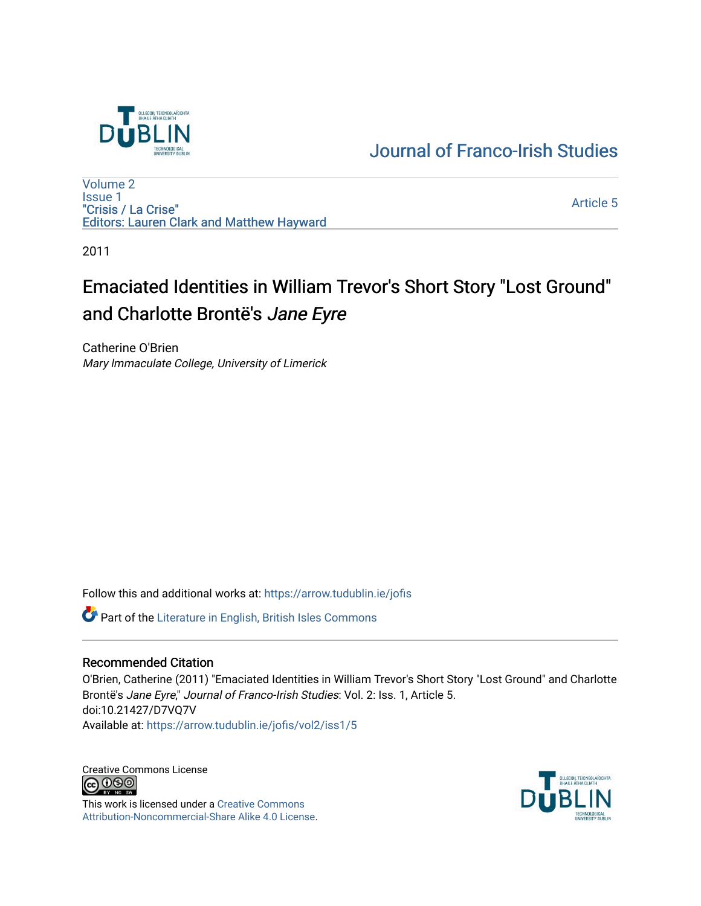

### [Journal of Franco-Irish Studies](https://arrow.tudublin.ie/jofis)

[Volume 2](https://arrow.tudublin.ie/jofis/vol2) [Issue 1](https://arrow.tudublin.ie/jofis/vol2/iss1) "Crisis / La Crise" Editors: Lauren Clark and Matthew Hayward

[Article 5](https://arrow.tudublin.ie/jofis/vol2/iss1/5) 

2011

# Emaciated Identities in William Trevor's Short Story "Lost Ground" and Charlotte Brontë's Jane Eyre

Catherine O'Brien Mary lmmaculate College, University of Limerick

Follow this and additional works at: [https://arrow.tudublin.ie/jofis](https://arrow.tudublin.ie/jofis?utm_source=arrow.tudublin.ie%2Fjofis%2Fvol2%2Fiss1%2F5&utm_medium=PDF&utm_campaign=PDFCoverPages) 

Part of the [Literature in English, British Isles Commons](http://network.bepress.com/hgg/discipline/456?utm_source=arrow.tudublin.ie%2Fjofis%2Fvol2%2Fiss1%2F5&utm_medium=PDF&utm_campaign=PDFCoverPages)

#### Recommended Citation

O'Brien, Catherine (2011) "Emaciated Identities in William Trevor's Short Story "Lost Ground" and Charlotte Brontë's Jane Eyre," Journal of Franco-Irish Studies: Vol. 2: Iss. 1, Article 5. doi:10.21427/D7VQ7V Available at: [https://arrow.tudublin.ie/jofis/vol2/iss1/5](https://arrow.tudublin.ie/jofis/vol2/iss1/5?utm_source=arrow.tudublin.ie%2Fjofis%2Fvol2%2Fiss1%2F5&utm_medium=PDF&utm_campaign=PDFCoverPages) 

Creative Commons License<br>
C 000

This work is licensed under a [Creative Commons](https://creativecommons.org/licenses/by-nc-sa/4.0/) [Attribution-Noncommercial-Share Alike 4.0 License](https://creativecommons.org/licenses/by-nc-sa/4.0/).

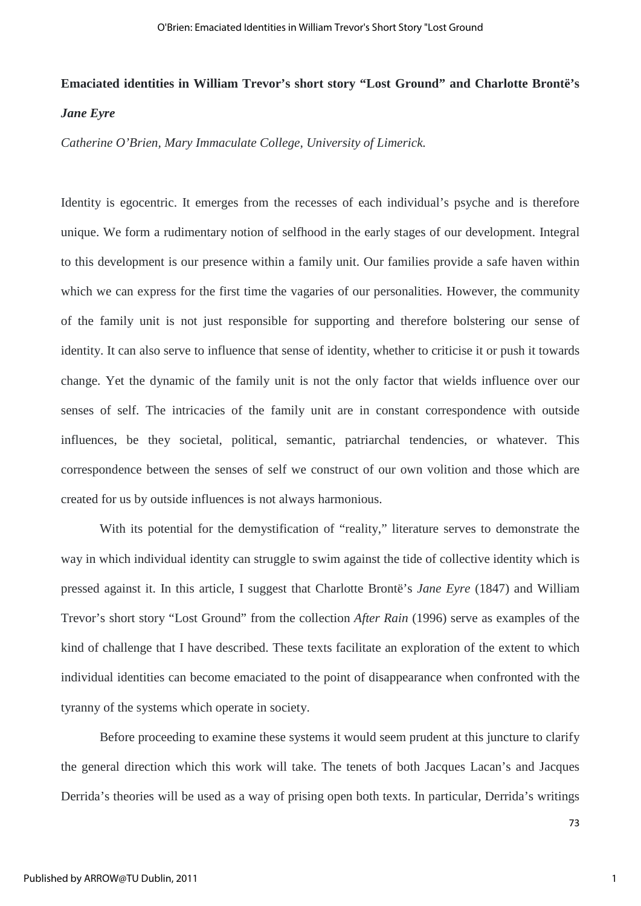## **Emaciated identities in William Trevor's short story "Lost Ground" and Charlotte Brontë's** *Jane Eyre*

*Catherine O'Brien, Mary Immaculate College, University of Limerick.*

Identity is egocentric. It emerges from the recesses of each individual's psyche and is therefore unique. We form a rudimentary notion of selfhood in the early stages of our development. Integral to this development is our presence within a family unit. Our families provide a safe haven within which we can express for the first time the vagaries of our personalities. However, the community of the family unit is not just responsible for supporting and therefore bolstering our sense of identity. It can also serve to influence that sense of identity, whether to criticise it or push it towards change. Yet the dynamic of the family unit is not the only factor that wields influence over our senses of self. The intricacies of the family unit are in constant correspondence with outside influences, be they societal, political, semantic, patriarchal tendencies, or whatever. This correspondence between the senses of self we construct of our own volition and those which are created for us by outside influences is not always harmonious.

With its potential for the demystification of "reality," literature serves to demonstrate the way in which individual identity can struggle to swim against the tide of collective identity which is pressed against it. In this article, I suggest that Charlotte Brontë's *Jane Eyre* (1847) and William Trevor's short story "Lost Ground" from the collection *After Rain* (1996) serve as examples of the kind of challenge that I have described. These texts facilitate an exploration of the extent to which individual identities can become emaciated to the point of disappearance when confronted with the tyranny of the systems which operate in society.

Before proceeding to examine these systems it would seem prudent at this juncture to clarify the general direction which this work will take. The tenets of both Jacques Lacan's and Jacques Derrida's theories will be used as a way of prising open both texts. In particular, Derrida's writings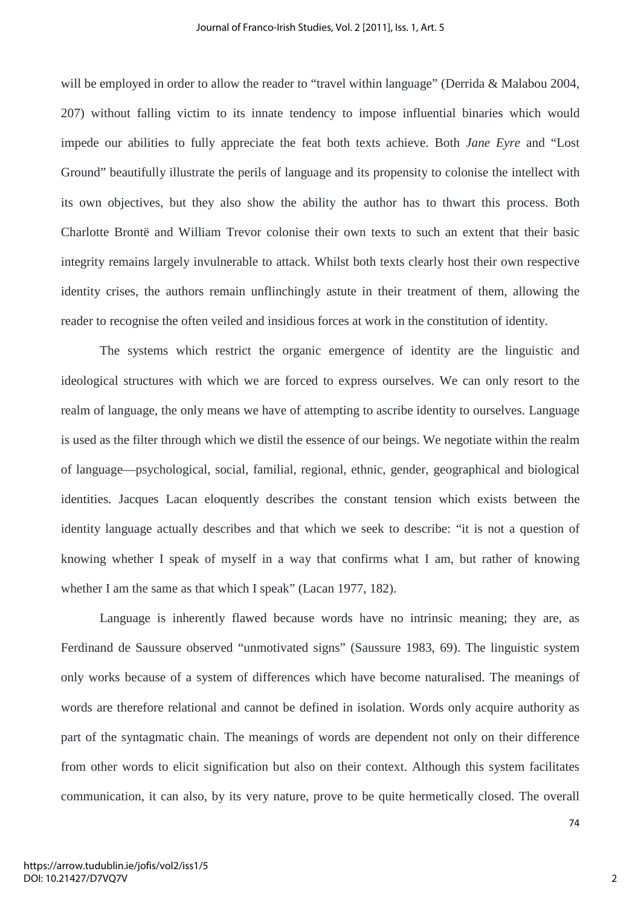will be employed in order to allow the reader to "travel within language" (Derrida & Malabou 2004, 207) without falling victim to its innate tendency to impose influential binaries which would impede our abilities to fully appreciate the feat both texts achieve. Both *Jane Eyre* and "Lost Ground" beautifully illustrate the perils of language and its propensity to colonise the intellect with its own objectives, but they also show the ability the author has to thwart this process. Both Charlotte Brontë and William Trevor colonise their own texts to such an extent that their basic integrity remains largely invulnerable to attack. Whilst both texts clearly host their own respective identity crises, the authors remain unflinchingly astute in their treatment of them, allowing the reader to recognise the often veiled and insidious forces at work in the constitution of identity.

The systems which restrict the organic emergence of identity are the linguistic and ideological structures with which we are forced to express ourselves. We can only resort to the realm of language, the only means we have of attempting to ascribe identity to ourselves. Language is used as the filter through which we distil the essence of our beings. We negotiate within the realm of language—psychological, social, familial, regional, ethnic, gender, geographical and biological identities. Jacques Lacan eloquently describes the constant tension which exists between the identity language actually describes and that which we seek to describe: "it is not a question of knowing whether I speak of myself in a way that confirms what I am, but rather of knowing whether I am the same as that which I speak" (Lacan 1977, 182).

Language is inherently flawed because words have no intrinsic meaning; they are, as Ferdinand de Saussure observed "unmotivated signs" (Saussure 1983, 69). The linguistic system only works because of a system of differences which have become naturalised. The meanings of words are therefore relational and cannot be defined in isolation. Words only acquire authority as part of the syntagmatic chain. The meanings of words are dependent not only on their difference from other words to elicit signification but also on their context. Although this system facilitates communication, it can also, by its very nature, prove to be quite hermetically closed. The overall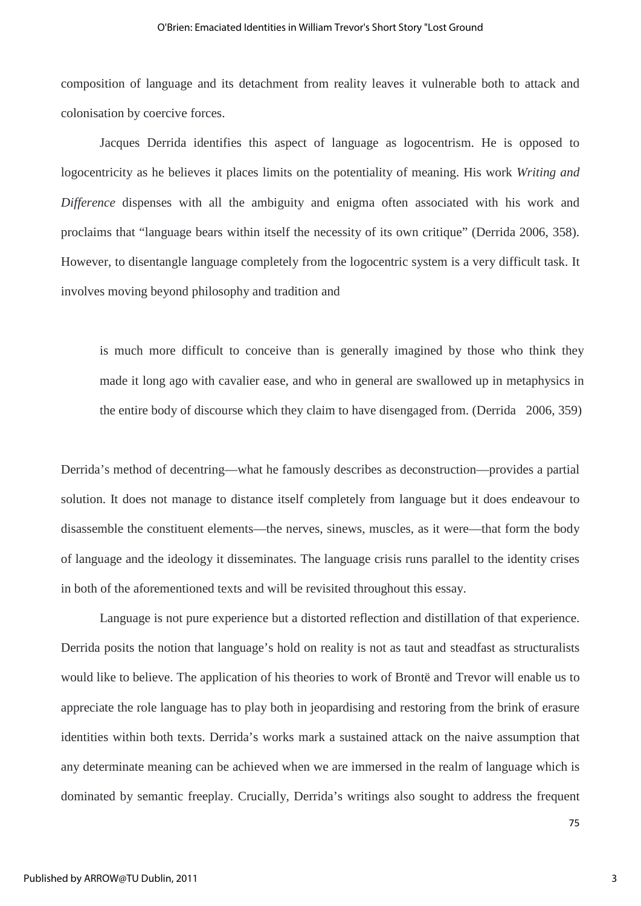composition of language and its detachment from reality leaves it vulnerable both to attack and colonisation by coercive forces.

Jacques Derrida identifies this aspect of language as logocentrism. He is opposed to logocentricity as he believes it places limits on the potentiality of meaning. His work *Writing and Difference* dispenses with all the ambiguity and enigma often associated with his work and proclaims that "language bears within itself the necessity of its own critique" (Derrida 2006, 358). However, to disentangle language completely from the logocentric system is a very difficult task. It involves moving beyond philosophy and tradition and

is much more difficult to conceive than is generally imagined by those who think they made it long ago with cavalier ease, and who in general are swallowed up in metaphysics in the entire body of discourse which they claim to have disengaged from. (Derrida 2006, 359)

Derrida's method of decentring—what he famously describes as deconstruction—provides a partial solution. It does not manage to distance itself completely from language but it does endeavour to disassemble the constituent elements—the nerves, sinews, muscles, as it were—that form the body of language and the ideology it disseminates. The language crisis runs parallel to the identity crises in both of the aforementioned texts and will be revisited throughout this essay.

Language is not pure experience but a distorted reflection and distillation of that experience. Derrida posits the notion that language's hold on reality is not as taut and steadfast as structuralists would like to believe. The application of his theories to work of Brontë and Trevor will enable us to appreciate the role language has to play both in jeopardising and restoring from the brink of erasure identities within both texts. Derrida's works mark a sustained attack on the naive assumption that any determinate meaning can be achieved when we are immersed in the realm of language which is dominated by semantic freeplay. Crucially, Derrida's writings also sought to address the frequent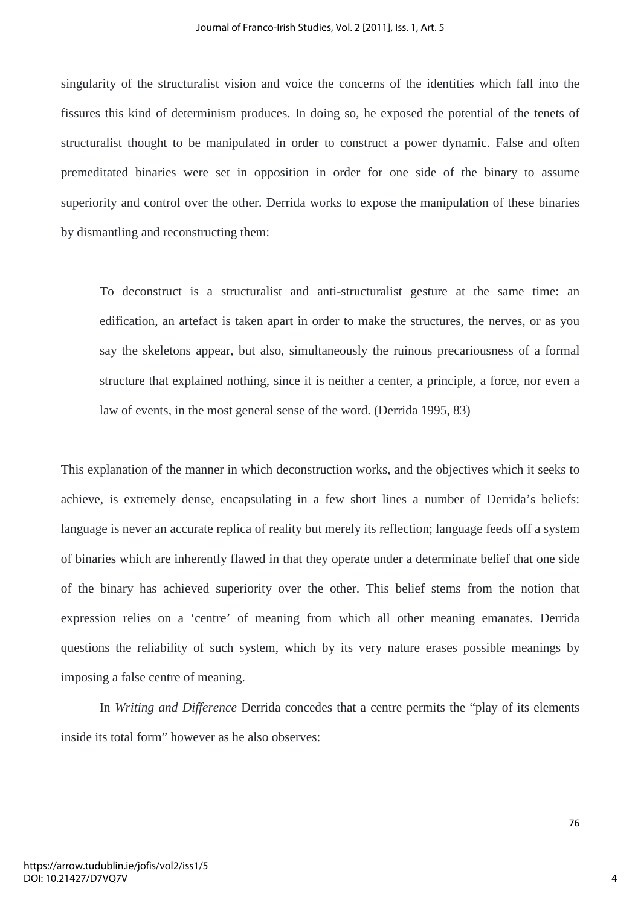singularity of the structuralist vision and voice the concerns of the identities which fall into the fissures this kind of determinism produces. In doing so, he exposed the potential of the tenets of structuralist thought to be manipulated in order to construct a power dynamic. False and often premeditated binaries were set in opposition in order for one side of the binary to assume superiority and control over the other. Derrida works to expose the manipulation of these binaries by dismantling and reconstructing them:

To deconstruct is a structuralist and anti-structuralist gesture at the same time: an edification, an artefact is taken apart in order to make the structures, the nerves, or as you say the skeletons appear, but also, simultaneously the ruinous precariousness of a formal structure that explained nothing, since it is neither a center, a principle, a force, nor even a law of events, in the most general sense of the word. (Derrida 1995, 83)

This explanation of the manner in which deconstruction works, and the objectives which it seeks to achieve, is extremely dense, encapsulating in a few short lines a number of Derrida's beliefs: language is never an accurate replica of reality but merely its reflection; language feeds off a system of binaries which are inherently flawed in that they operate under a determinate belief that one side of the binary has achieved superiority over the other. This belief stems from the notion that expression relies on a 'centre' of meaning from which all other meaning emanates. Derrida questions the reliability of such system, which by its very nature erases possible meanings by imposing a false centre of meaning.

In *Writing and Difference* Derrida concedes that a centre permits the "play of its elements inside its total form" however as he also observes:

76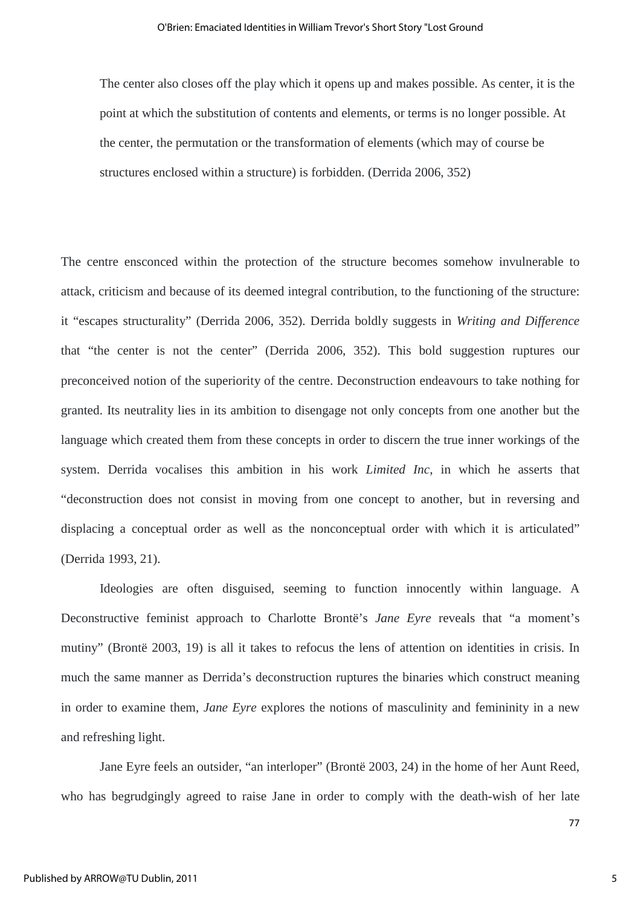The center also closes off the play which it opens up and makes possible. As center, it is the point at which the substitution of contents and elements, or terms is no longer possible. At the center, the permutation or the transformation of elements (which may of course be structures enclosed within a structure) is forbidden. (Derrida 2006, 352)

The centre ensconced within the protection of the structure becomes somehow invulnerable to attack, criticism and because of its deemed integral contribution, to the functioning of the structure: it "escapes structurality" (Derrida 2006, 352). Derrida boldly suggests in *Writing and Difference* that "the center is not the center" (Derrida 2006, 352). This bold suggestion ruptures our preconceived notion of the superiority of the centre. Deconstruction endeavours to take nothing for granted. Its neutrality lies in its ambition to disengage not only concepts from one another but the language which created them from these concepts in order to discern the true inner workings of the system. Derrida vocalises this ambition in his work *Limited Inc*, in which he asserts that "deconstruction does not consist in moving from one concept to another, but in reversing and displacing a conceptual order as well as the nonconceptual order with which it is articulated" (Derrida 1993, 21).

Ideologies are often disguised, seeming to function innocently within language. A Deconstructive feminist approach to Charlotte Brontë's *Jane Eyre* reveals that "a moment's mutiny" (Brontë 2003, 19) is all it takes to refocus the lens of attention on identities in crisis. In much the same manner as Derrida's deconstruction ruptures the binaries which construct meaning in order to examine them, *Jane Eyre* explores the notions of masculinity and femininity in a new and refreshing light.

Jane Eyre feels an outsider, "an interloper" (Brontë 2003, 24) in the home of her Aunt Reed, who has begrudgingly agreed to raise Jane in order to comply with the death-wish of her late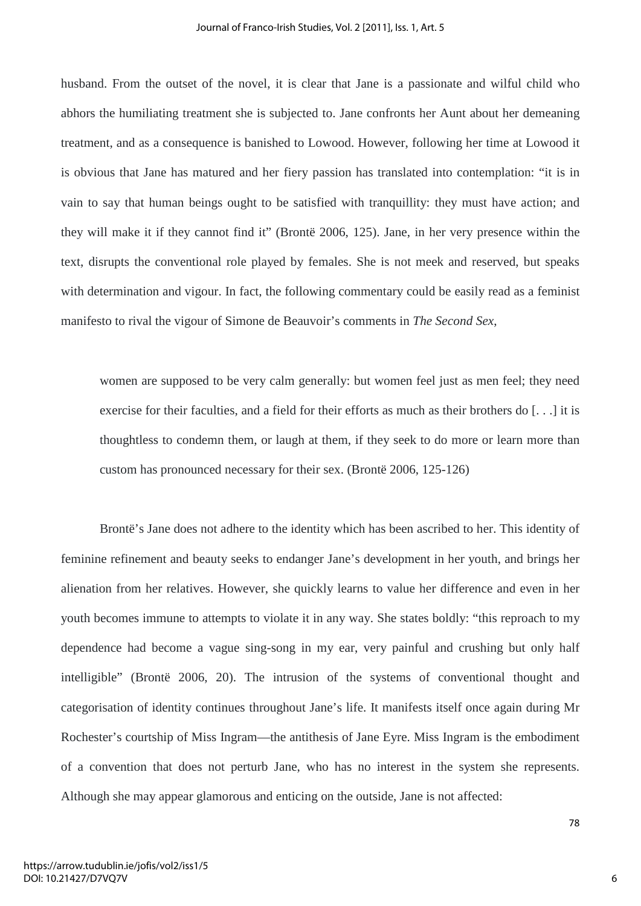husband. From the outset of the novel, it is clear that Jane is a passionate and wilful child who abhors the humiliating treatment she is subjected to. Jane confronts her Aunt about her demeaning treatment, and as a consequence is banished to Lowood. However, following her time at Lowood it is obvious that Jane has matured and her fiery passion has translated into contemplation: "it is in vain to say that human beings ought to be satisfied with tranquillity: they must have action; and they will make it if they cannot find it" (Brontë 2006, 125). Jane, in her very presence within the text, disrupts the conventional role played by females. She is not meek and reserved, but speaks with determination and vigour. In fact, the following commentary could be easily read as a feminist manifesto to rival the vigour of Simone de Beauvoir's comments in *The Second Sex*,

women are supposed to be very calm generally: but women feel just as men feel; they need exercise for their faculties, and a field for their efforts as much as their brothers do [. . .] it is thoughtless to condemn them, or laugh at them, if they seek to do more or learn more than custom has pronounced necessary for their sex. (Brontë 2006, 125-126)

Brontë's Jane does not adhere to the identity which has been ascribed to her. This identity of feminine refinement and beauty seeks to endanger Jane's development in her youth, and brings her alienation from her relatives. However, she quickly learns to value her difference and even in her youth becomes immune to attempts to violate it in any way. She states boldly: "this reproach to my dependence had become a vague sing-song in my ear, very painful and crushing but only half intelligible" (Brontë 2006, 20). The intrusion of the systems of conventional thought and categorisation of identity continues throughout Jane's life. It manifests itself once again during Mr Rochester's courtship of Miss Ingram—the antithesis of Jane Eyre. Miss Ingram is the embodiment of a convention that does not perturb Jane, who has no interest in the system she represents. Although she may appear glamorous and enticing on the outside, Jane is not affected:

6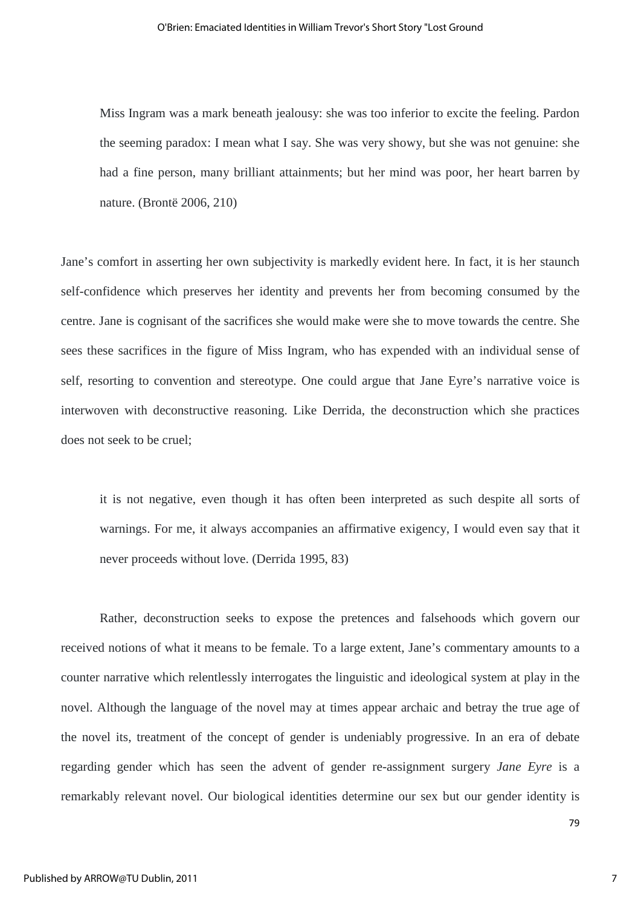Miss Ingram was a mark beneath jealousy: she was too inferior to excite the feeling. Pardon the seeming paradox: I mean what I say. She was very showy, but she was not genuine: she had a fine person, many brilliant attainments; but her mind was poor, her heart barren by nature. (Brontë 2006, 210)

Jane's comfort in asserting her own subjectivity is markedly evident here. In fact, it is her staunch self-confidence which preserves her identity and prevents her from becoming consumed by the centre. Jane is cognisant of the sacrifices she would make were she to move towards the centre. She sees these sacrifices in the figure of Miss Ingram, who has expended with an individual sense of self, resorting to convention and stereotype. One could argue that Jane Eyre's narrative voice is interwoven with deconstructive reasoning. Like Derrida, the deconstruction which she practices does not seek to be cruel;

it is not negative, even though it has often been interpreted as such despite all sorts of warnings. For me, it always accompanies an affirmative exigency, I would even say that it never proceeds without love. (Derrida 1995, 83)

Rather, deconstruction seeks to expose the pretences and falsehoods which govern our received notions of what it means to be female. To a large extent, Jane's commentary amounts to a counter narrative which relentlessly interrogates the linguistic and ideological system at play in the novel. Although the language of the novel may at times appear archaic and betray the true age of the novel its, treatment of the concept of gender is undeniably progressive. In an era of debate regarding gender which has seen the advent of gender re-assignment surgery *Jane Eyre* is a remarkably relevant novel. Our biological identities determine our sex but our gender identity is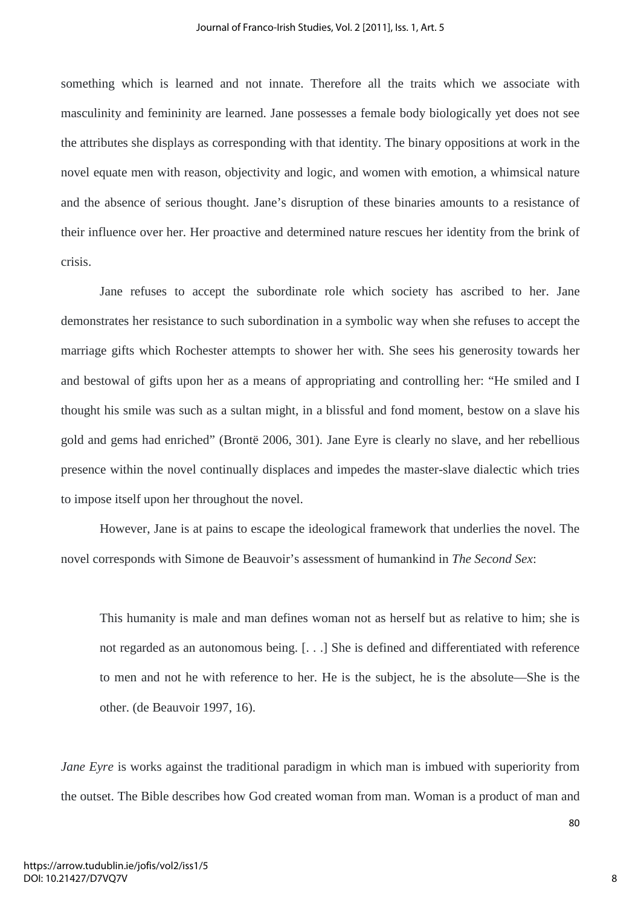something which is learned and not innate. Therefore all the traits which we associate with masculinity and femininity are learned. Jane possesses a female body biologically yet does not see the attributes she displays as corresponding with that identity. The binary oppositions at work in the novel equate men with reason, objectivity and logic, and women with emotion, a whimsical nature and the absence of serious thought. Jane's disruption of these binaries amounts to a resistance of their influence over her. Her proactive and determined nature rescues her identity from the brink of crisis.

Jane refuses to accept the subordinate role which society has ascribed to her. Jane demonstrates her resistance to such subordination in a symbolic way when she refuses to accept the marriage gifts which Rochester attempts to shower her with. She sees his generosity towards her and bestowal of gifts upon her as a means of appropriating and controlling her: "He smiled and I thought his smile was such as a sultan might, in a blissful and fond moment, bestow on a slave his gold and gems had enriched" (Brontë 2006, 301). Jane Eyre is clearly no slave, and her rebellious presence within the novel continually displaces and impedes the master-slave dialectic which tries to impose itself upon her throughout the novel.

However, Jane is at pains to escape the ideological framework that underlies the novel. The novel corresponds with Simone de Beauvoir's assessment of humankind in *The Second Sex*:

This humanity is male and man defines woman not as herself but as relative to him; she is not regarded as an autonomous being. [. . .] She is defined and differentiated with reference to men and not he with reference to her. He is the subject, he is the absolute—She is the other. (de Beauvoir 1997, 16).

*Jane Eyre* is works against the traditional paradigm in which man is imbued with superiority from the outset. The Bible describes how God created woman from man. Woman is a product of man and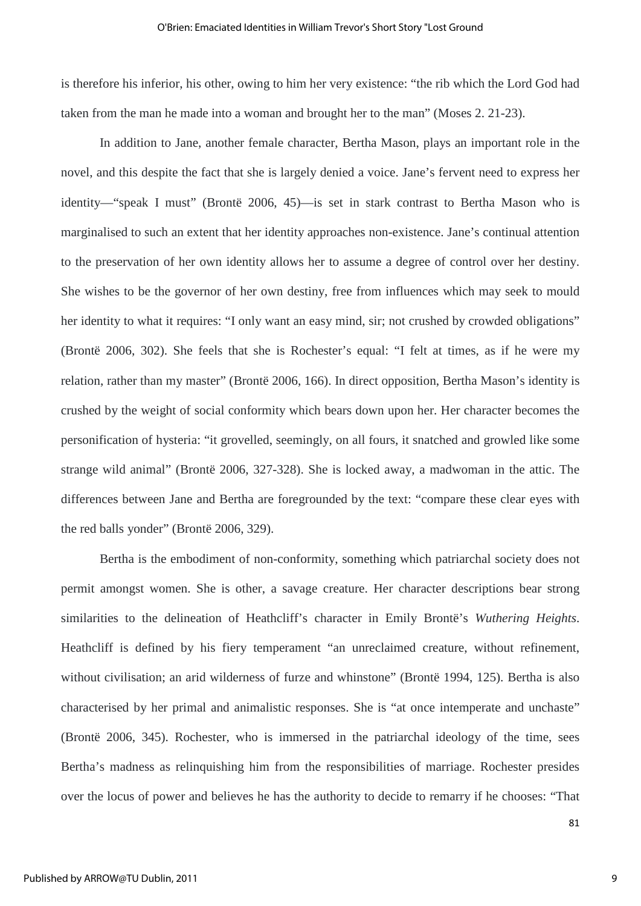is therefore his inferior, his other, owing to him her very existence: "the rib which the Lord God had taken from the man he made into a woman and brought her to the man" (Moses 2. 21-23).

In addition to Jane, another female character, Bertha Mason, plays an important role in the novel, and this despite the fact that she is largely denied a voice. Jane's fervent need to express her identity—"speak I must" (Brontë 2006, 45)—is set in stark contrast to Bertha Mason who is marginalised to such an extent that her identity approaches non-existence. Jane's continual attention to the preservation of her own identity allows her to assume a degree of control over her destiny. She wishes to be the governor of her own destiny, free from influences which may seek to mould her identity to what it requires: "I only want an easy mind, sir; not crushed by crowded obligations" (Brontë 2006, 302). She feels that she is Rochester's equal: "I felt at times, as if he were my relation, rather than my master" (Brontë 2006, 166). In direct opposition, Bertha Mason's identity is crushed by the weight of social conformity which bears down upon her. Her character becomes the personification of hysteria: "it grovelled, seemingly, on all fours, it snatched and growled like some strange wild animal" (Brontë 2006, 327-328). She is locked away, a madwoman in the attic. The differences between Jane and Bertha are foregrounded by the text: "compare these clear eyes with the red balls yonder" (Brontë 2006, 329).

Bertha is the embodiment of non-conformity, something which patriarchal society does not permit amongst women. She is other, a savage creature. Her character descriptions bear strong similarities to the delineation of Heathcliff's character in Emily Brontë's *Wuthering Heights*. Heathcliff is defined by his fiery temperament "an unreclaimed creature, without refinement, without civilisation; an arid wilderness of furze and whinstone" (Brontë 1994, 125). Bertha is also characterised by her primal and animalistic responses. She is "at once intemperate and unchaste" (Brontë 2006, 345). Rochester, who is immersed in the patriarchal ideology of the time, sees Bertha's madness as relinquishing him from the responsibilities of marriage. Rochester presides over the locus of power and believes he has the authority to decide to remarry if he chooses: "That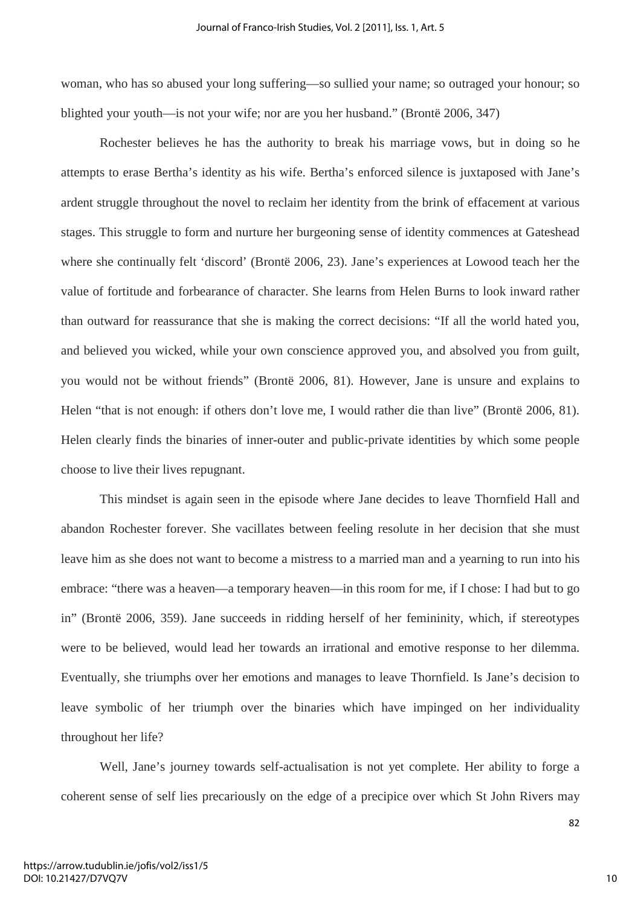woman, who has so abused your long suffering—so sullied your name; so outraged your honour; so blighted your youth—is not your wife; nor are you her husband." (Brontë 2006, 347)

Rochester believes he has the authority to break his marriage vows, but in doing so he attempts to erase Bertha's identity as his wife. Bertha's enforced silence is juxtaposed with Jane's ardent struggle throughout the novel to reclaim her identity from the brink of effacement at various stages. This struggle to form and nurture her burgeoning sense of identity commences at Gateshead where she continually felt 'discord' (Brontë 2006, 23). Jane's experiences at Lowood teach her the value of fortitude and forbearance of character. She learns from Helen Burns to look inward rather than outward for reassurance that she is making the correct decisions: "If all the world hated you, and believed you wicked, while your own conscience approved you, and absolved you from guilt, you would not be without friends" (Brontë 2006, 81). However, Jane is unsure and explains to Helen "that is not enough: if others don't love me, I would rather die than live" (Brontë 2006, 81). Helen clearly finds the binaries of inner-outer and public-private identities by which some people choose to live their lives repugnant.

This mindset is again seen in the episode where Jane decides to leave Thornfield Hall and abandon Rochester forever. She vacillates between feeling resolute in her decision that she must leave him as she does not want to become a mistress to a married man and a yearning to run into his embrace: "there was a heaven—a temporary heaven—in this room for me, if I chose: I had but to go in" (Brontë 2006, 359). Jane succeeds in ridding herself of her femininity, which, if stereotypes were to be believed, would lead her towards an irrational and emotive response to her dilemma. Eventually, she triumphs over her emotions and manages to leave Thornfield. Is Jane's decision to leave symbolic of her triumph over the binaries which have impinged on her individuality throughout her life?

Well, Jane's journey towards self-actualisation is not yet complete. Her ability to forge a coherent sense of self lies precariously on the edge of a precipice over which St John Rivers may

https://arrow.tudublin.ie/jofis/vol2/iss1/5 DOI: 10.21427/D7VQ7V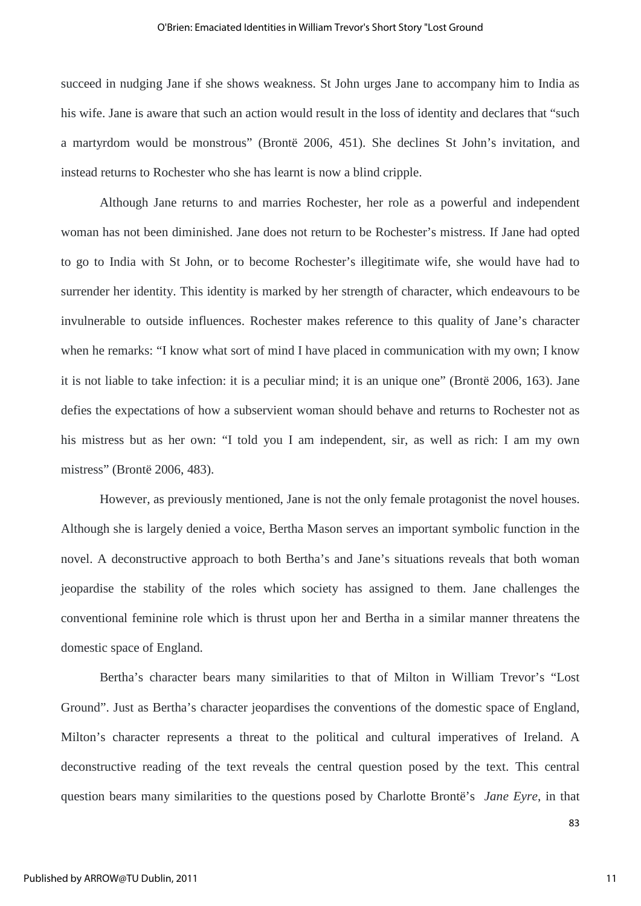succeed in nudging Jane if she shows weakness. St John urges Jane to accompany him to India as his wife. Jane is aware that such an action would result in the loss of identity and declares that "such a martyrdom would be monstrous" (Brontë 2006, 451). She declines St John's invitation, and instead returns to Rochester who she has learnt is now a blind cripple.

Although Jane returns to and marries Rochester, her role as a powerful and independent woman has not been diminished. Jane does not return to be Rochester's mistress. If Jane had opted to go to India with St John, or to become Rochester's illegitimate wife, she would have had to surrender her identity. This identity is marked by her strength of character, which endeavours to be invulnerable to outside influences. Rochester makes reference to this quality of Jane's character when he remarks: "I know what sort of mind I have placed in communication with my own; I know it is not liable to take infection: it is a peculiar mind; it is an unique one" (Brontë 2006, 163). Jane defies the expectations of how a subservient woman should behave and returns to Rochester not as his mistress but as her own: "I told you I am independent, sir, as well as rich: I am my own mistress" (Brontë 2006, 483).

However, as previously mentioned, Jane is not the only female protagonist the novel houses. Although she is largely denied a voice, Bertha Mason serves an important symbolic function in the novel. A deconstructive approach to both Bertha's and Jane's situations reveals that both woman jeopardise the stability of the roles which society has assigned to them. Jane challenges the conventional feminine role which is thrust upon her and Bertha in a similar manner threatens the domestic space of England.

Bertha's character bears many similarities to that of Milton in William Trevor's "Lost Ground". Just as Bertha's character jeopardises the conventions of the domestic space of England, Milton's character represents a threat to the political and cultural imperatives of Ireland. A deconstructive reading of the text reveals the central question posed by the text. This central question bears many similarities to the questions posed by Charlotte Brontë's *Jane Eyre*, in that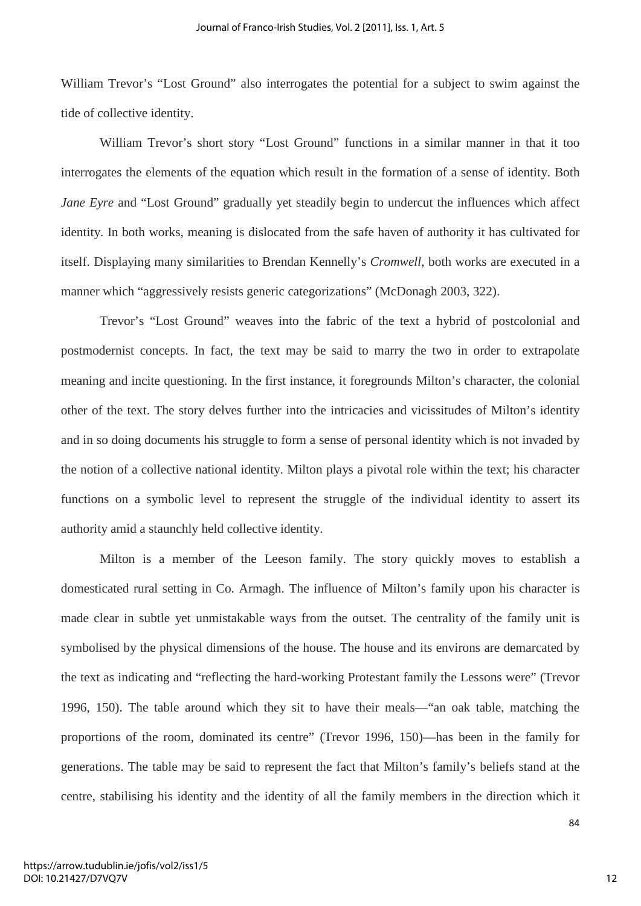William Trevor's "Lost Ground" also interrogates the potential for a subject to swim against the tide of collective identity.

William Trevor's short story "Lost Ground" functions in a similar manner in that it too interrogates the elements of the equation which result in the formation of a sense of identity. Both *Jane Eyre* and "Lost Ground" gradually yet steadily begin to undercut the influences which affect identity. In both works, meaning is dislocated from the safe haven of authority it has cultivated for itself. Displaying many similarities to Brendan Kennelly's *Cromwell*, both works are executed in a manner which "aggressively resists generic categorizations" (McDonagh 2003, 322).

Trevor's "Lost Ground" weaves into the fabric of the text a hybrid of postcolonial and postmodernist concepts. In fact, the text may be said to marry the two in order to extrapolate meaning and incite questioning. In the first instance, it foregrounds Milton's character, the colonial other of the text. The story delves further into the intricacies and vicissitudes of Milton's identity and in so doing documents his struggle to form a sense of personal identity which is not invaded by the notion of a collective national identity. Milton plays a pivotal role within the text; his character functions on a symbolic level to represent the struggle of the individual identity to assert its authority amid a staunchly held collective identity.

Milton is a member of the Leeson family. The story quickly moves to establish a domesticated rural setting in Co. Armagh. The influence of Milton's family upon his character is made clear in subtle yet unmistakable ways from the outset. The centrality of the family unit is symbolised by the physical dimensions of the house. The house and its environs are demarcated by the text as indicating and "reflecting the hard-working Protestant family the Lessons were" (Trevor 1996, 150). The table around which they sit to have their meals—"an oak table, matching the proportions of the room, dominated its centre" (Trevor 1996, 150)—has been in the family for generations. The table may be said to represent the fact that Milton's family's beliefs stand at the centre, stabilising his identity and the identity of all the family members in the direction which it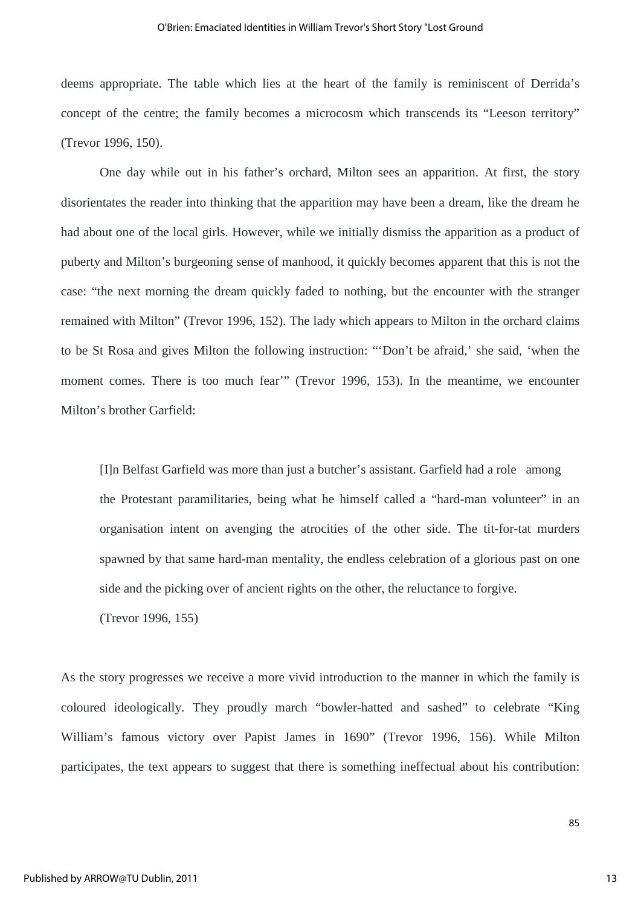deems appropriate. The table which lies at the heart of the family is reminiscent of Derrida's concept of the centre; the family becomes a microcosm which transcends its "Leeson territory" (Trevor 1996, 150).

One day while out in his father's orchard, Milton sees an apparition. At first, the story disorientates the reader into thinking that the apparition may have been a dream, like the dream he had about one of the local girls. However, while we initially dismiss the apparition as a product of puberty and Milton's burgeoning sense of manhood, it quickly becomes apparent that this is not the case: "the next morning the dream quickly faded to nothing, but the encounter with the stranger remained with Milton" (Trevor 1996, 152). The lady which appears to Milton in the orchard claims to be St Rosa and gives Milton the following instruction: "'Don't be afraid,' she said, 'when the moment comes. There is too much fear'" (Trevor 1996, 153). In the meantime, we encounter Milton's brother Garfield:

 [I]n Belfast Garfield was more than just a butcher's assistant. Garfield had a role among the Protestant paramilitaries, being what he himself called a "hard-man volunteer" in an organisation intent on avenging the atrocities of the other side. The tit-for-tat murders spawned by that same hard-man mentality, the endless celebration of a glorious past on one side and the picking over of ancient rights on the other, the reluctance to forgive.

(Trevor 1996, 155)

As the story progresses we receive a more vivid introduction to the manner in which the family is coloured ideologically. They proudly march "bowler-hatted and sashed" to celebrate "King William's famous victory over Papist James in 1690" (Trevor 1996, 156). While Milton participates, the text appears to suggest that there is something ineffectual about his contribution: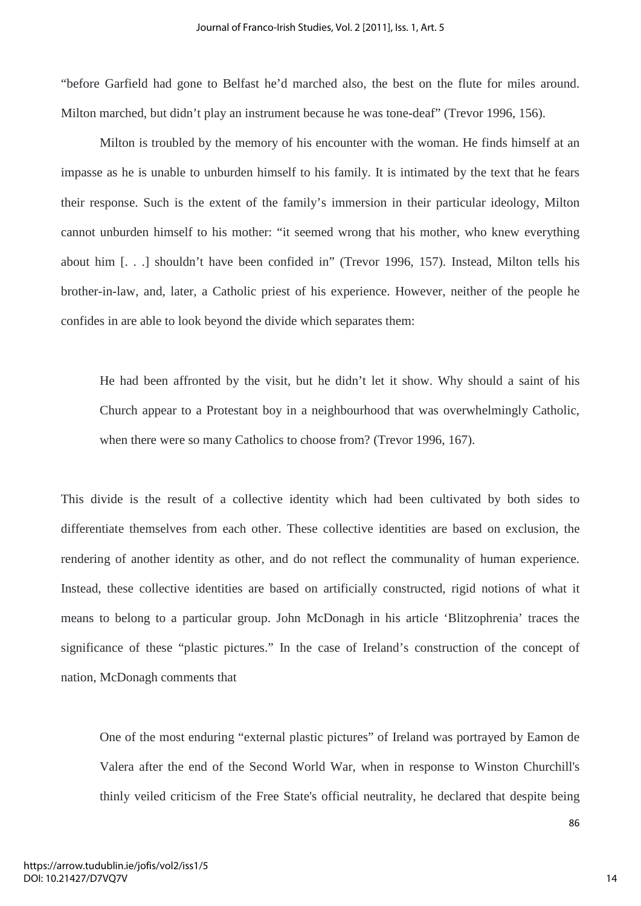"before Garfield had gone to Belfast he'd marched also, the best on the flute for miles around. Milton marched, but didn't play an instrument because he was tone-deaf" (Trevor 1996, 156).

Milton is troubled by the memory of his encounter with the woman. He finds himself at an impasse as he is unable to unburden himself to his family. It is intimated by the text that he fears their response. Such is the extent of the family's immersion in their particular ideology, Milton cannot unburden himself to his mother: "it seemed wrong that his mother, who knew everything about him [. . .] shouldn't have been confided in" (Trevor 1996, 157). Instead, Milton tells his brother-in-law, and, later, a Catholic priest of his experience. However, neither of the people he confides in are able to look beyond the divide which separates them:

He had been affronted by the visit, but he didn't let it show. Why should a saint of his Church appear to a Protestant boy in a neighbourhood that was overwhelmingly Catholic, when there were so many Catholics to choose from? (Trevor 1996, 167).

This divide is the result of a collective identity which had been cultivated by both sides to differentiate themselves from each other. These collective identities are based on exclusion, the rendering of another identity as other, and do not reflect the communality of human experience. Instead, these collective identities are based on artificially constructed, rigid notions of what it means to belong to a particular group. John McDonagh in his article 'Blitzophrenia' traces the significance of these "plastic pictures." In the case of Ireland's construction of the concept of nation, McDonagh comments that

One of the most enduring "external plastic pictures" of Ireland was portrayed by Eamon de Valera after the end of the Second World War, when in response to Winston Churchill's thinly veiled criticism of the Free State's official neutrality, he declared that despite being

https://arrow.tudublin.ie/jofis/vol2/iss1/5 DOI: 10.21427/D7VQ7V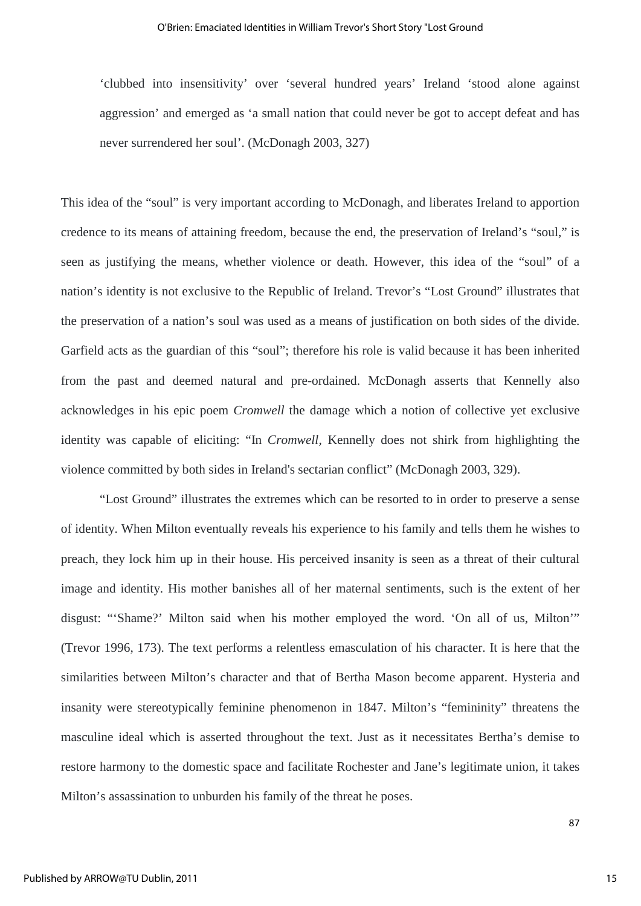'clubbed into insensitivity' over 'several hundred years' Ireland 'stood alone against aggression' and emerged as 'a small nation that could never be got to accept defeat and has never surrendered her soul'. (McDonagh 2003, 327)

This idea of the "soul" is very important according to McDonagh, and liberates Ireland to apportion credence to its means of attaining freedom, because the end, the preservation of Ireland's "soul," is seen as justifying the means, whether violence or death. However, this idea of the "soul" of a nation's identity is not exclusive to the Republic of Ireland. Trevor's "Lost Ground" illustrates that the preservation of a nation's soul was used as a means of justification on both sides of the divide. Garfield acts as the guardian of this "soul"; therefore his role is valid because it has been inherited from the past and deemed natural and pre-ordained. McDonagh asserts that Kennelly also acknowledges in his epic poem *Cromwell* the damage which a notion of collective yet exclusive identity was capable of eliciting: "In *Cromwell,* Kennelly does not shirk from highlighting the violence committed by both sides in Ireland's sectarian conflict" (McDonagh 2003, 329).

"Lost Ground" illustrates the extremes which can be resorted to in order to preserve a sense of identity. When Milton eventually reveals his experience to his family and tells them he wishes to preach, they lock him up in their house. His perceived insanity is seen as a threat of their cultural image and identity. His mother banishes all of her maternal sentiments, such is the extent of her disgust: "'Shame?' Milton said when his mother employed the word. 'On all of us, Milton'" (Trevor 1996, 173). The text performs a relentless emasculation of his character. It is here that the similarities between Milton's character and that of Bertha Mason become apparent. Hysteria and insanity were stereotypically feminine phenomenon in 1847. Milton's "femininity" threatens the masculine ideal which is asserted throughout the text. Just as it necessitates Bertha's demise to restore harmony to the domestic space and facilitate Rochester and Jane's legitimate union, it takes Milton's assassination to unburden his family of the threat he poses.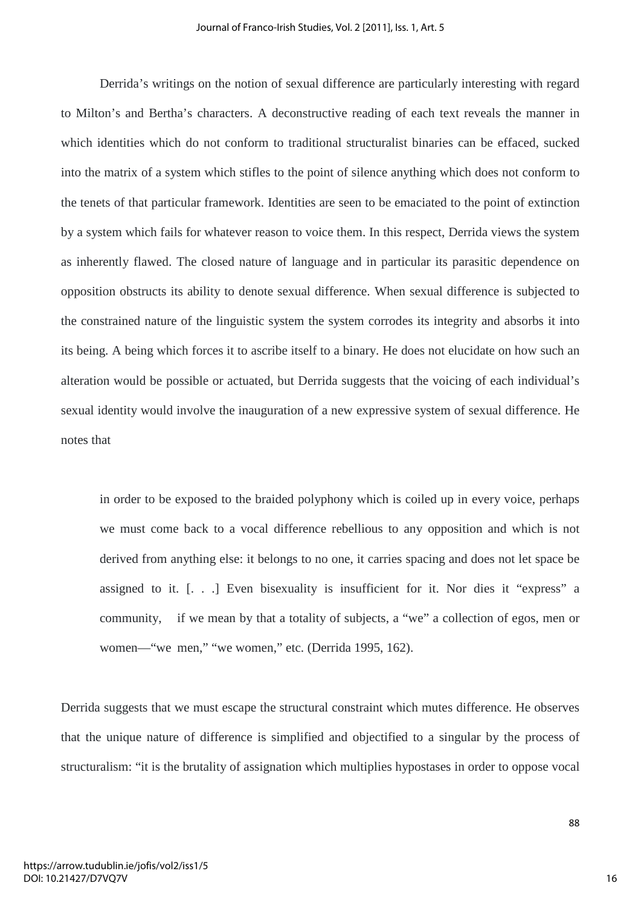Derrida's writings on the notion of sexual difference are particularly interesting with regard to Milton's and Bertha's characters. A deconstructive reading of each text reveals the manner in which identities which do not conform to traditional structuralist binaries can be effaced, sucked into the matrix of a system which stifles to the point of silence anything which does not conform to the tenets of that particular framework. Identities are seen to be emaciated to the point of extinction by a system which fails for whatever reason to voice them. In this respect, Derrida views the system as inherently flawed. The closed nature of language and in particular its parasitic dependence on opposition obstructs its ability to denote sexual difference. When sexual difference is subjected to the constrained nature of the linguistic system the system corrodes its integrity and absorbs it into its being. A being which forces it to ascribe itself to a binary. He does not elucidate on how such an alteration would be possible or actuated, but Derrida suggests that the voicing of each individual's sexual identity would involve the inauguration of a new expressive system of sexual difference. He notes that

in order to be exposed to the braided polyphony which is coiled up in every voice, perhaps we must come back to a vocal difference rebellious to any opposition and which is not derived from anything else: it belongs to no one, it carries spacing and does not let space be assigned to it. [. . .] Even bisexuality is insufficient for it. Nor dies it "express" a community, if we mean by that a totality of subjects, a "we" a collection of egos, men or women—"we men," "we women," etc. (Derrida 1995, 162).

Derrida suggests that we must escape the structural constraint which mutes difference. He observes that the unique nature of difference is simplified and objectified to a singular by the process of structuralism: "it is the brutality of assignation which multiplies hypostases in order to oppose vocal

16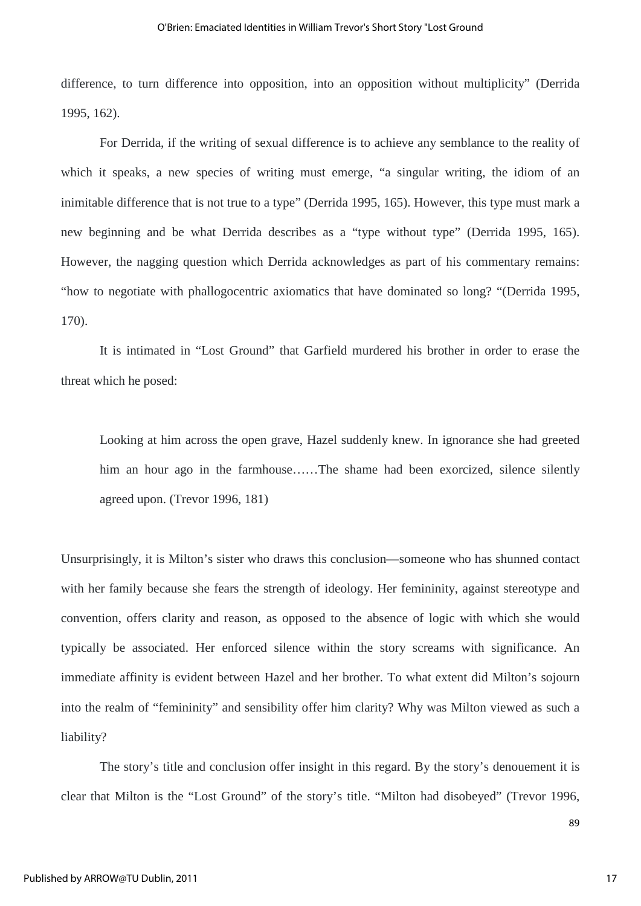difference, to turn difference into opposition, into an opposition without multiplicity" (Derrida 1995, 162).

For Derrida, if the writing of sexual difference is to achieve any semblance to the reality of which it speaks, a new species of writing must emerge, "a singular writing, the idiom of an inimitable difference that is not true to a type" (Derrida 1995, 165). However, this type must mark a new beginning and be what Derrida describes as a "type without type" (Derrida 1995, 165). However, the nagging question which Derrida acknowledges as part of his commentary remains: "how to negotiate with phallogocentric axiomatics that have dominated so long? "(Derrida 1995, 170).

It is intimated in "Lost Ground" that Garfield murdered his brother in order to erase the threat which he posed:

Looking at him across the open grave, Hazel suddenly knew. In ignorance she had greeted him an hour ago in the farmhouse......The shame had been exorcized, silence silently agreed upon. (Trevor 1996, 181)

Unsurprisingly, it is Milton's sister who draws this conclusion—someone who has shunned contact with her family because she fears the strength of ideology. Her femininity, against stereotype and convention, offers clarity and reason, as opposed to the absence of logic with which she would typically be associated. Her enforced silence within the story screams with significance. An immediate affinity is evident between Hazel and her brother. To what extent did Milton's sojourn into the realm of "femininity" and sensibility offer him clarity? Why was Milton viewed as such a liability?

The story's title and conclusion offer insight in this regard. By the story's denouement it is clear that Milton is the "Lost Ground" of the story's title. "Milton had disobeyed" (Trevor 1996,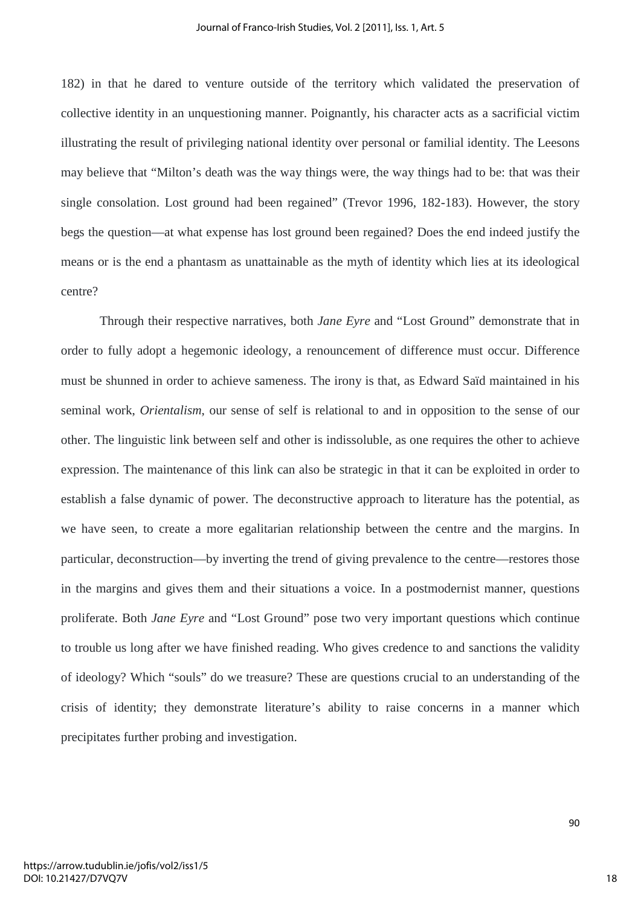182) in that he dared to venture outside of the territory which validated the preservation of collective identity in an unquestioning manner. Poignantly, his character acts as a sacrificial victim illustrating the result of privileging national identity over personal or familial identity. The Leesons may believe that "Milton's death was the way things were, the way things had to be: that was their single consolation. Lost ground had been regained" (Trevor 1996, 182-183). However, the story begs the question—at what expense has lost ground been regained? Does the end indeed justify the means or is the end a phantasm as unattainable as the myth of identity which lies at its ideological centre?

Through their respective narratives, both *Jane Eyre* and "Lost Ground" demonstrate that in order to fully adopt a hegemonic ideology, a renouncement of difference must occur. Difference must be shunned in order to achieve sameness. The irony is that, as Edward Saïd maintained in his seminal work, *Orientalism*, our sense of self is relational to and in opposition to the sense of our other. The linguistic link between self and other is indissoluble, as one requires the other to achieve expression. The maintenance of this link can also be strategic in that it can be exploited in order to establish a false dynamic of power. The deconstructive approach to literature has the potential, as we have seen, to create a more egalitarian relationship between the centre and the margins. In particular, deconstruction—by inverting the trend of giving prevalence to the centre—restores those in the margins and gives them and their situations a voice. In a postmodernist manner, questions proliferate. Both *Jane Eyre* and "Lost Ground" pose two very important questions which continue to trouble us long after we have finished reading. Who gives credence to and sanctions the validity of ideology? Which "souls" do we treasure? These are questions crucial to an understanding of the crisis of identity; they demonstrate literature's ability to raise concerns in a manner which precipitates further probing and investigation.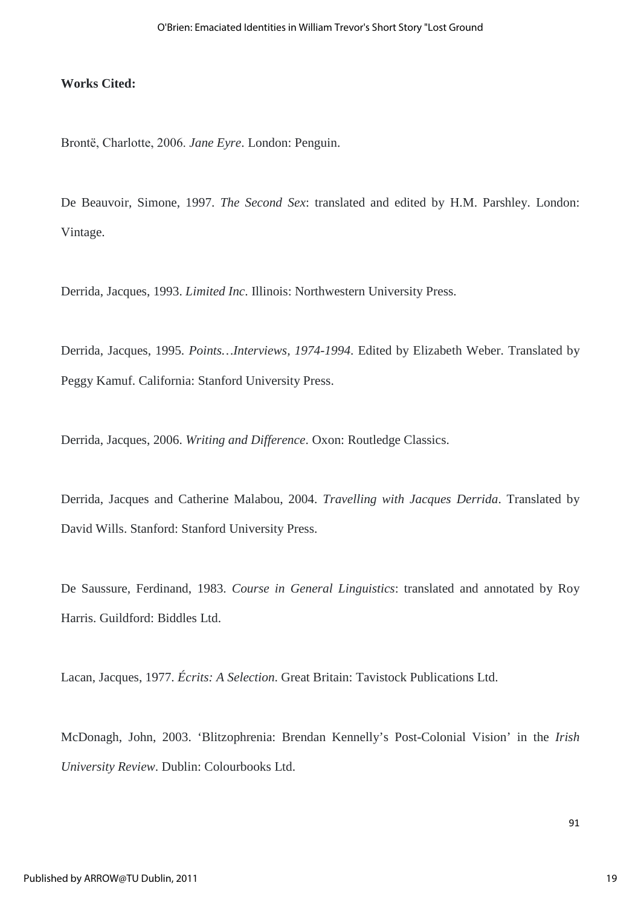#### **Works Cited:**

Brontё, Charlotte, 2006. *Jane Eyre*. London: Penguin.

De Beauvoir, Simone, 1997. *The Second Sex*: translated and edited by H.M. Parshley. London: Vintage.

Derrida, Jacques, 1993. *Limited Inc*. Illinois: Northwestern University Press.

Derrida, Jacques, 1995. *Points…Interviews, 1974-1994*. Edited by Elizabeth Weber. Translated by Peggy Kamuf. California: Stanford University Press.

Derrida, Jacques, 2006. *Writing and Difference*. Oxon: Routledge Classics.

Derrida, Jacques and Catherine Malabou, 2004. *Travelling with Jacques Derrida*. Translated by David Wills. Stanford: Stanford University Press.

De Saussure, Ferdinand, 1983. *Course in General Linguistics*: translated and annotated by Roy Harris. Guildford: Biddles Ltd.

Lacan, Jacques, 1977. *Écrits: A Selection*. Great Britain: Tavistock Publications Ltd.

McDonagh, John, 2003. 'Blitzophrenia: Brendan Kennelly's Post-Colonial Vision' in the *Irish University Review*. Dublin: Colourbooks Ltd.